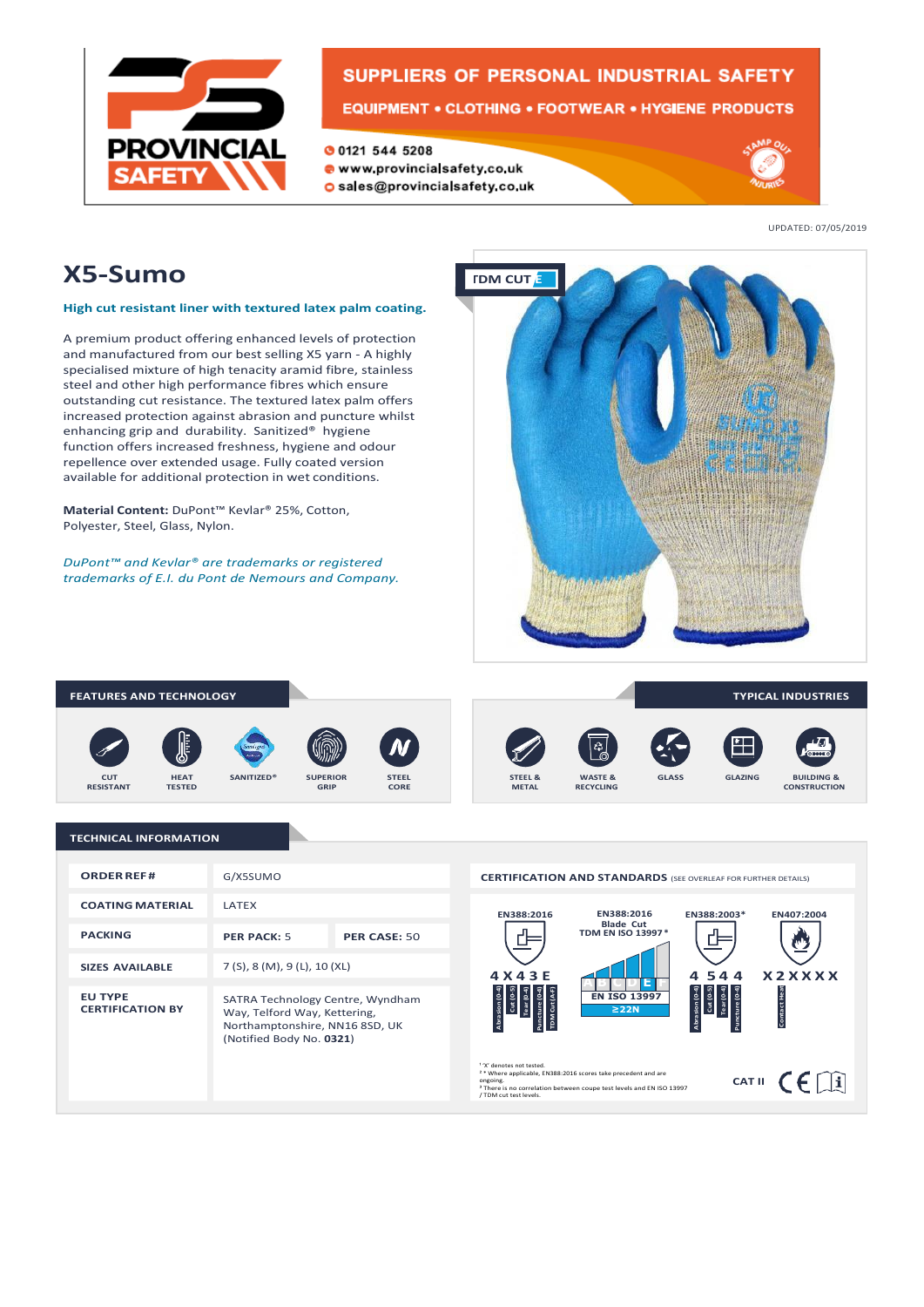

# **SUPPLIERS OF PERSONAL INDUSTRIAL SAFETY**

**001215445208** 

- www.provincialsafety.co.uk
- o sales@provincialsafety.co.uk



UPDATED: 07/05/2019

# **X5-Sumo**

### **High cut resistant liner with textured latex palm coating.**

A premium product offering enhanced levels of protection and manufactured from our best selling X5 yarn - A highly specialised mixture of high tenacity aramid fibre, stainless steel and other high performance fibres which ensure outstanding cut resistance. The textured latex palm offers increased protection against abrasion and puncture whilst enhancing grip and durability. Sanitized® hygiene function offers increased freshness, hygiene and odour repellence over extended usage. Fully coated version available for additional protection in wet conditions.

**Material Content:** DuPont™ Kevlar® 25%, Cotton, Polyester, Steel, Glass, Nylon.

*DuPont™ and Kevlar® are trademarks or registered trademarks of E.I. du Pont de Nemours and Company.*



#### **FEATURES AND TECHNOLOGY TYPICAL INDUSTRIES** డి **CUT SANITIZED® SUPERIOR STEEL & GLASS GLAZING BUILDING & HEAT TESTED STEEL CORE WASTE & RECYCLING RESISTANT GRIP METAL CONSTRUCTION**

#### **TECHNICAL INFORMATION**

| <b>ORDER REF#</b>                         | G/X5SUMO                                                                                                                       |              |
|-------------------------------------------|--------------------------------------------------------------------------------------------------------------------------------|--------------|
| <b>COATING MATERIAL</b>                   | <b>LATFX</b>                                                                                                                   |              |
| <b>PACKING</b>                            | <b>PFR PACK: 5</b>                                                                                                             | PER CASE: 50 |
| <b>SIZES AVAILABLE</b>                    | 7(5), 8(M), 9(L), 10(XL)                                                                                                       |              |
| <b>EU TYPE</b><br><b>CERTIFICATION BY</b> | SATRA Technology Centre, Wyndham<br>Way, Telford Way, Kettering,<br>Northamptonshire, NN16 8SD, UK<br>(Notified Body No. 0321) |              |